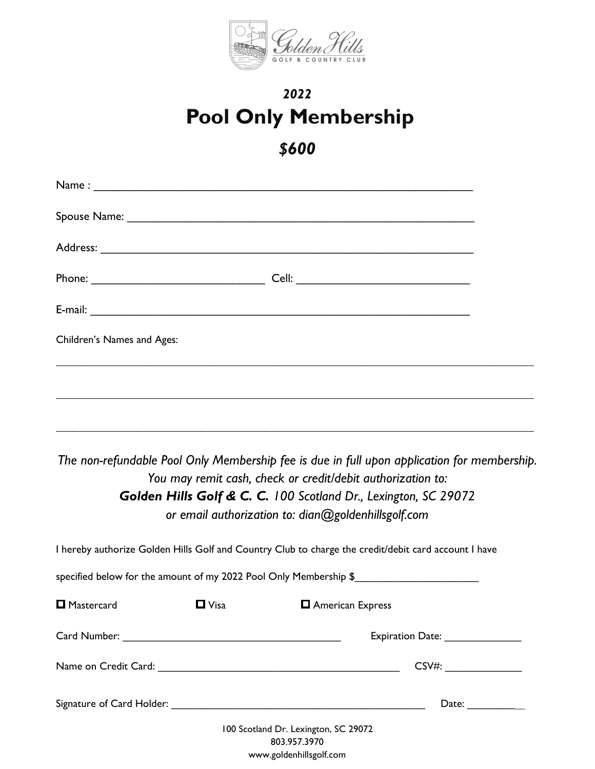

## *2022* **Pool Only Membership**

## *\$600*

| Children's Names and Ages: |             |                                                                                                                                                                                                                                                                                      |                                                                                      |  |
|----------------------------|-------------|--------------------------------------------------------------------------------------------------------------------------------------------------------------------------------------------------------------------------------------------------------------------------------------|--------------------------------------------------------------------------------------|--|
|                            |             |                                                                                                                                                                                                                                                                                      |                                                                                      |  |
|                            |             | The non-refundable Pool Only Membership fee is due in full upon application for membership.<br>You may remit cash, check or credit/debit authorization to:<br>Golden Hills Golf & C. C. 100 Scotland Dr., Lexington, SC 29072<br>or email authorization to: dian@goldenhillsgolf.com |                                                                                      |  |
|                            |             | I hereby authorize Golden Hills Golf and Country Club to charge the credit/debit card account I have                                                                                                                                                                                 |                                                                                      |  |
|                            |             | specified below for the amount of my 2022 Pool Only Membership \$                                                                                                                                                                                                                    |                                                                                      |  |
| Mastercard                 | $\Box$ Visa | <b>D</b> American Express                                                                                                                                                                                                                                                            |                                                                                      |  |
|                            |             |                                                                                                                                                                                                                                                                                      | Expiration Date: 2008. Expiration Date:                                              |  |
|                            |             |                                                                                                                                                                                                                                                                                      | CSV#:                                                                                |  |
|                            |             |                                                                                                                                                                                                                                                                                      | Date: $\frac{1}{\sqrt{1-\frac{1}{2}}\sqrt{1-\frac{1}{2}}\left(1-\frac{1}{2}\right)}$ |  |
|                            |             | 100 Scotland Dr. Lexington, SC 29072<br>803.957.3970                                                                                                                                                                                                                                 |                                                                                      |  |

[www.goldenhillsgolf.com](http://www.goldenhillsgolf.com/)